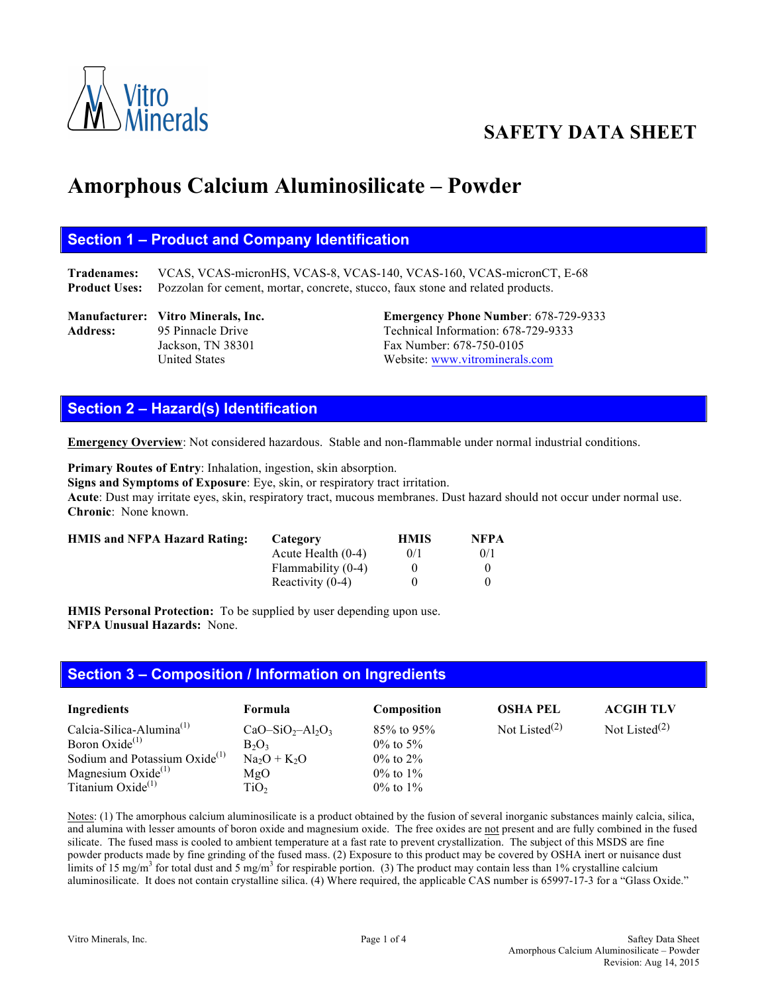

# **SAFETY DATA SHEET**

# **Amorphous Calcium Aluminosilicate – Powder**

# **Section 1 – Product and Company Identification**

**Tradenames:** VCAS, VCAS-micronHS, VCAS-8, VCAS-140, VCAS-160, VCAS-micronCT, E-68 **Product Uses:** Pozzolan for cement, mortar, concrete, stucco, faux stone and related products.

**Manufacturer: Vitro Minerals, Inc. Emergency Phone Number**: 678-729-9333 Address: 95 Pinnacle Drive Technical Information: 678-729-9333 Jackson, TN 38301 Fax Number: 678-750-0105 United States Website: www.vitrominerals.com

# **Section 2 – Hazard(s) Identification**

**Emergency Overview**: Not considered hazardous. Stable and non-flammable under normal industrial conditions.

**Primary Routes of Entry**: Inhalation, ingestion, skin absorption. **Signs and Symptoms of Exposure**: Eye, skin, or respiratory tract irritation. **Acute**: Dust may irritate eyes, skin, respiratory tract, mucous membranes. Dust hazard should not occur under normal use. **Chronic**: None known.

| <b>HMIS and NFPA Hazard Rating:</b> | Category             | <b>HMIS</b> | <b>NFPA</b> |
|-------------------------------------|----------------------|-------------|-------------|
|                                     | Acute Health $(0-4)$ | 0/1         | 0/1         |
|                                     | Flammability (0-4)   |             |             |
|                                     | Reactivity $(0-4)$   |             |             |

**HMIS Personal Protection:** To be supplied by user depending upon use. **NFPA Unusual Hazards:** None.

#### **Section 3 – Composition / Information on Ingredients**

| Ingredients                               | Formula          | <b>Composition</b> | <b>OSHA PEL</b>           | <b>ACGIH TLV</b> |
|-------------------------------------------|------------------|--------------------|---------------------------|------------------|
| Calcia-Silica-Alumina $^{(1)}$            | $CaO-SiO2-Al2O3$ | $85\%$ to 95\%     | Not Listed <sup>(2)</sup> | Not Listed $(2)$ |
| Boron Oxide <sup>(1)</sup>                | $B_2O_3$         | $0\%$ to 5%        |                           |                  |
| Sodium and Potassium Oxide <sup>(1)</sup> | $Na2O + K2O$     | $0\%$ to $2\%$     |                           |                  |
| Magnesium Oxide $^{(1)}$                  | MgO              | $0\%$ to $1\%$     |                           |                  |
| Titanium Oxide <sup>(1)</sup>             | TiO <sub>2</sub> | $0\%$ to $1\%$     |                           |                  |

Notes: (1) The amorphous calcium aluminosilicate is a product obtained by the fusion of several inorganic substances mainly calcia, silica, and alumina with lesser amounts of boron oxide and magnesium oxide. The free oxides are not present and are fully combined in the fused silicate. The fused mass is cooled to ambient temperature at a fast rate to prevent crystallization. The subject of this MSDS are fine powder products made by fine grinding of the fused mass. (2) Exposure to this product may be covered by OSHA inert or nuisance dust limits of 15 mg/m<sup>3</sup> for total dust and 5 mg/m<sup>3</sup> for respirable portion. (3) The product may contain less than 1% crystalline calcium aluminosilicate. It does not contain crystalline silica. (4) Where required, the applicable CAS number is 65997-17-3 for a "Glass Oxide."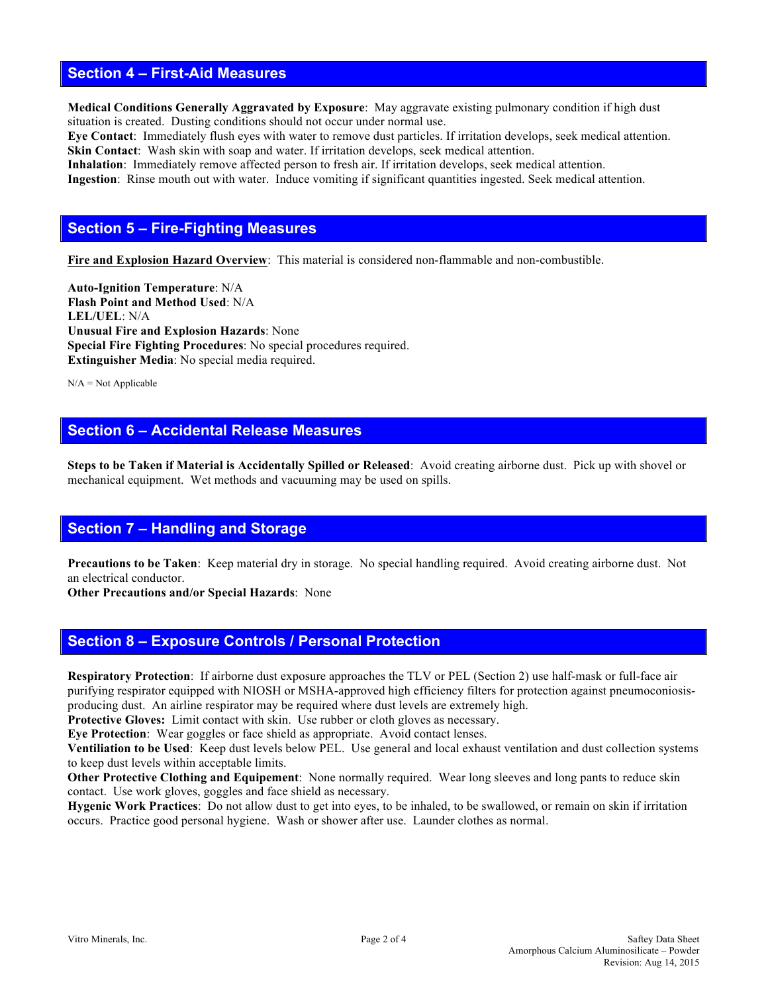### **Section 4 – First-Aid Measures**

**Medical Conditions Generally Aggravated by Exposure**: May aggravate existing pulmonary condition if high dust situation is created. Dusting conditions should not occur under normal use.

**Eye Contact**: Immediately flush eyes with water to remove dust particles. If irritation develops, seek medical attention. **Skin Contact**: Wash skin with soap and water. If irritation develops, seek medical attention.

**Inhalation**: Immediately remove affected person to fresh air. If irritation develops, seek medical attention. **Ingestion**: Rinse mouth out with water. Induce vomiting if significant quantities ingested. Seek medical attention.

# **Section 5 – Fire-Fighting Measures**

**Fire and Explosion Hazard Overview**: This material is considered non-flammable and non-combustible.

**Auto-Ignition Temperature**: N/A **Flash Point and Method Used**: N/A **LEL/UEL**: N/A **Unusual Fire and Explosion Hazards**: None **Special Fire Fighting Procedures**: No special procedures required. **Extinguisher Media**: No special media required.

 $N/A = Not$  Applicable

# **Section 6 – Accidental Release Measures**

**Steps to be Taken if Material is Accidentally Spilled or Released**: Avoid creating airborne dust. Pick up with shovel or mechanical equipment. Wet methods and vacuuming may be used on spills.

# **Section 7 – Handling and Storage**

**Precautions to be Taken**: Keep material dry in storage. No special handling required. Avoid creating airborne dust. Not an electrical conductor.

**Other Precautions and/or Special Hazards**: None

# **Section 8 – Exposure Controls / Personal Protection**

**Respiratory Protection**: If airborne dust exposure approaches the TLV or PEL (Section 2) use half-mask or full-face air purifying respirator equipped with NIOSH or MSHA-approved high efficiency filters for protection against pneumoconiosisproducing dust. An airline respirator may be required where dust levels are extremely high.

**Protective Gloves:** Limit contact with skin. Use rubber or cloth gloves as necessary.

**Eye Protection**: Wear goggles or face shield as appropriate. Avoid contact lenses.

**Ventiliation to be Used**: Keep dust levels below PEL. Use general and local exhaust ventilation and dust collection systems to keep dust levels within acceptable limits.

**Other Protective Clothing and Equipement**: None normally required. Wear long sleeves and long pants to reduce skin contact. Use work gloves, goggles and face shield as necessary.

**Hygenic Work Practices**: Do not allow dust to get into eyes, to be inhaled, to be swallowed, or remain on skin if irritation occurs. Practice good personal hygiene. Wash or shower after use. Launder clothes as normal.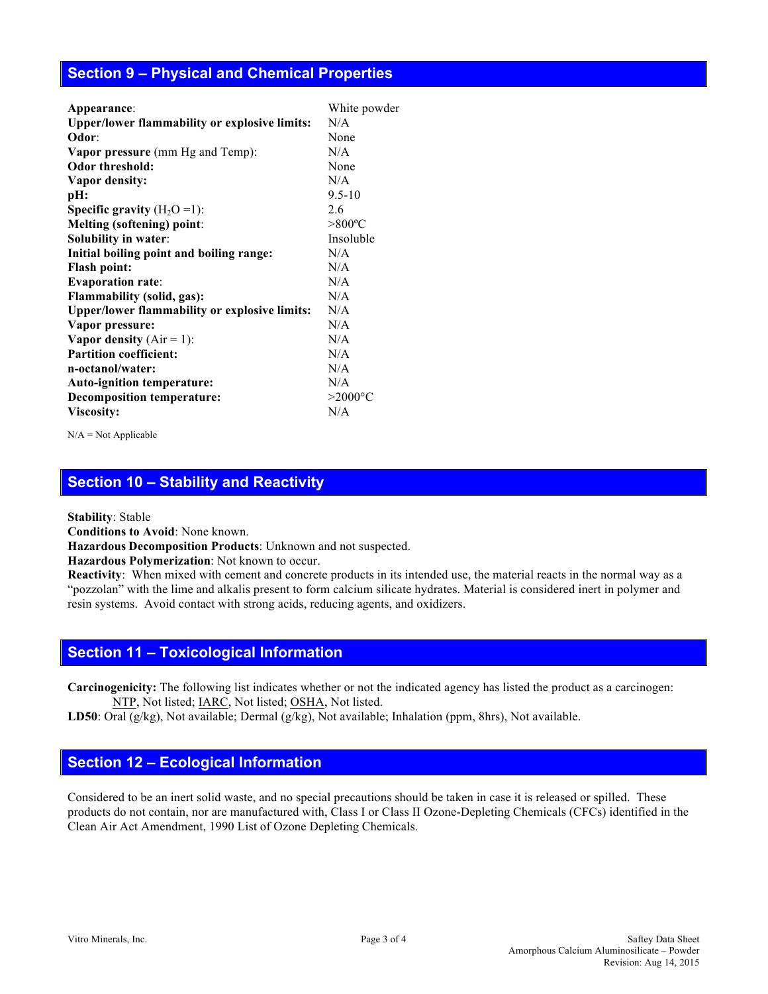# **Section 9 – Physical and Chemical Properties**

| Appearance:                                          | White powder     |
|------------------------------------------------------|------------------|
| <b>Upper/lower flammability or explosive limits:</b> | N/A              |
| Odor:                                                | None             |
| <b>Vapor pressure</b> (mm Hg and Temp):              | N/A              |
| Odor threshold:                                      | None             |
| Vapor density:                                       | N/A              |
| pH:                                                  | $9.5 - 10$       |
| <b>Specific gravity</b> $(H_2O=1)$ :                 | 2.6              |
| <b>Melting (softening) point:</b>                    | $>800^{\circ}$ C |
| Solubility in water:                                 | Insoluble        |
| Initial boiling point and boiling range:             | N/A              |
| <b>Flash point:</b>                                  | N/A              |
| <b>Evaporation rate:</b>                             | N/A              |
| Flammability (solid, gas):                           | N/A              |
| <b>Upper/lower flammability or explosive limits:</b> | N/A              |
| Vapor pressure:                                      | N/A              |
| Vapor density $(Air = 1)$ :                          | N/A              |
| <b>Partition coefficient:</b>                        | N/A              |
| n-octanol/water:                                     | N/A              |
| Auto-ignition temperature:                           | N/A              |
| <b>Decomposition temperature:</b>                    | $>2000$ °C       |
| Viscosity:                                           | N/A              |
|                                                      |                  |

 $N/A = Not Applicable$ 

# **Section 10 – Stability and Reactivity**

**Stability**: Stable

**Conditions to Avoid**: None known.

**Hazardous Decomposition Products**: Unknown and not suspected.

**Hazardous Polymerization**: Not known to occur.

**Reactivity**:When mixed with cement and concrete products in its intended use, the material reacts in the normal way as a "pozzolan" with the lime and alkalis present to form calcium silicate hydrates. Material is considered inert in polymer and resin systems. Avoid contact with strong acids, reducing agents, and oxidizers.

#### **Section 11 – Toxicological Information**

**Carcinogenicity:** The following list indicates whether or not the indicated agency has listed the product as a carcinogen: NTP, Not listed; IARC, Not listed; OSHA, Not listed.

**LD50**: Oral (g/kg), Not available; Dermal (g/kg), Not available; Inhalation (ppm, 8hrs), Not available.

#### **Section 12 – Ecological Information**

Considered to be an inert solid waste, and no special precautions should be taken in case it is released or spilled. These products do not contain, nor are manufactured with, Class I or Class II Ozone-Depleting Chemicals (CFCs) identified in the Clean Air Act Amendment, 1990 List of Ozone Depleting Chemicals.